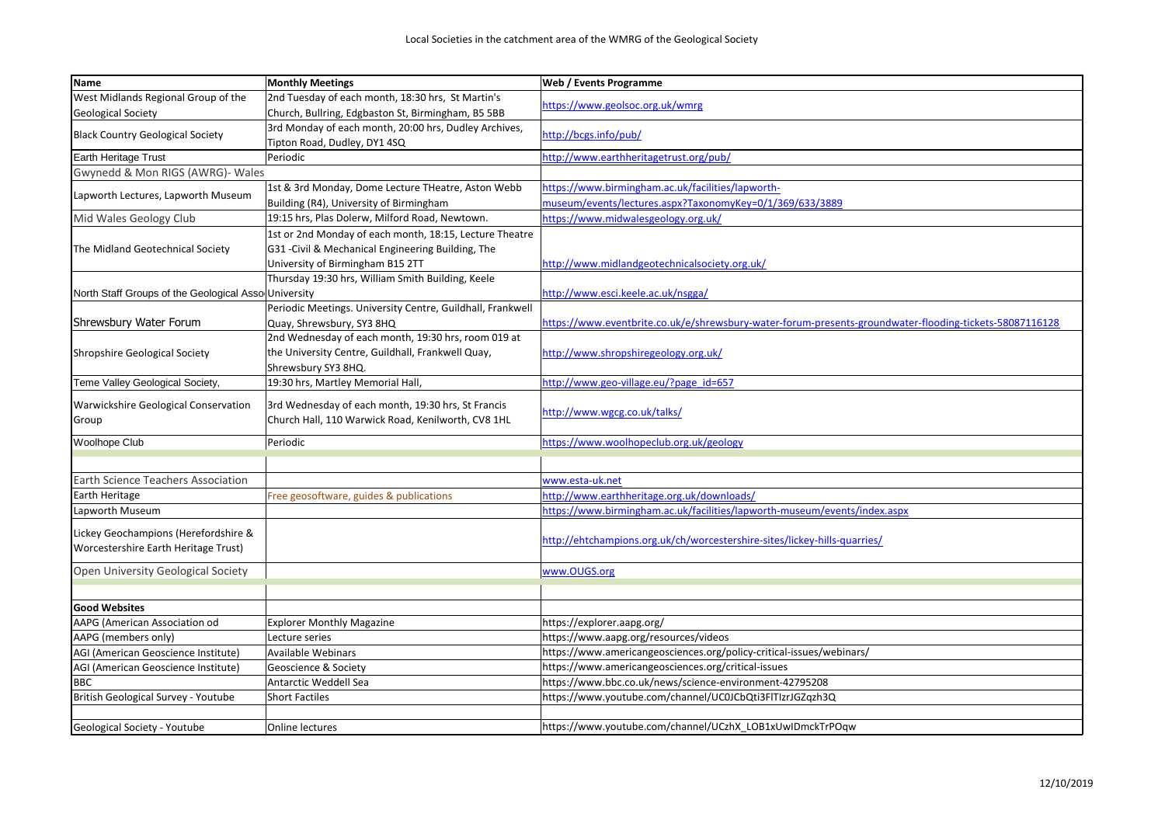| <b>I</b> Name                                        | <b>Monthly Meetings</b>                                    | Web / Events Programme                                                                                  |
|------------------------------------------------------|------------------------------------------------------------|---------------------------------------------------------------------------------------------------------|
| West Midlands Regional Group of the                  | 2nd Tuesday of each month, 18:30 hrs, St Martin's          | https://www.geolsoc.org.uk/wmrg                                                                         |
| <b>Geological Society</b>                            | Church, Bullring, Edgbaston St, Birmingham, B5 5BB         |                                                                                                         |
| <b>Black Country Geological Society</b>              | 3rd Monday of each month, 20:00 hrs, Dudley Archives,      | http://bcgs.info/pub/                                                                                   |
|                                                      | Tipton Road, Dudley, DY1 4SQ                               |                                                                                                         |
| Earth Heritage Trust                                 | Periodic                                                   | http://www.earthheritagetrust.org/pub/                                                                  |
| Gwynedd & Mon RIGS (AWRG)- Wales                     |                                                            |                                                                                                         |
| Lapworth Lectures, Lapworth Museum                   | 1st & 3rd Monday, Dome Lecture THeatre, Aston Webb         | https://www.birmingham.ac.uk/facilities/lapworth-                                                       |
|                                                      | Building (R4), University of Birmingham                    | museum/events/lectures.aspx?TaxonomyKey=0/1/369/633/3889                                                |
| Mid Wales Geology Club                               | 19:15 hrs, Plas Dolerw, Milford Road, Newtown.             | https://www.midwalesgeology.org.uk/                                                                     |
| The Midland Geotechnical Society                     | 1st or 2nd Monday of each month, 18:15, Lecture Theatre    |                                                                                                         |
|                                                      | G31 - Civil & Mechanical Engineering Building, The         |                                                                                                         |
|                                                      | University of Birmingham B15 2TT                           | http://www.midlandgeotechnicalsociety.org.uk/                                                           |
|                                                      | Thursday 19:30 hrs, William Smith Building, Keele          |                                                                                                         |
| North Staff Groups of the Geological Asso University |                                                            | http://www.esci.keele.ac.uk/nsgga/                                                                      |
|                                                      | Periodic Meetings. University Centre, Guildhall, Frankwell |                                                                                                         |
| Shrewsbury Water Forum                               | Quay, Shrewsbury, SY3 8HQ                                  | https://www.eventbrite.co.uk/e/shrewsbury-water-forum-presents-groundwater-flooding-tickets-58087116128 |
|                                                      | 2nd Wednesday of each month, 19:30 hrs, room 019 at        |                                                                                                         |
| <b>Shropshire Geological Society</b>                 | the University Centre, Guildhall, Frankwell Quay,          | http://www.shropshiregeology.org.uk/                                                                    |
|                                                      | Shrewsbury SY3 8HQ.                                        |                                                                                                         |
| Teme Valley Geological Society,                      | 19:30 hrs, Martley Memorial Hall,                          | http://www.geo-village.eu/?page id=657                                                                  |
| Warwickshire Geological Conservation                 | 3rd Wednesday of each month, 19:30 hrs, St Francis         |                                                                                                         |
| Group                                                | Church Hall, 110 Warwick Road, Kenilworth, CV8 1HL         | http://www.wgcg.co.uk/talks/                                                                            |
|                                                      |                                                            |                                                                                                         |
| Woolhope Club                                        | Periodic                                                   | https://www.woolhopeclub.org.uk/geology                                                                 |
|                                                      |                                                            |                                                                                                         |
| <b>Earth Science Teachers Association</b>            |                                                            | www.esta-uk.net                                                                                         |
| Earth Heritage                                       | Free geosoftware, guides & publications                    | http://www.earthheritage.org.uk/downloads/                                                              |
| Lapworth Museum                                      |                                                            | https://www.birmingham.ac.uk/facilities/lapworth-museum/events/index.aspx                               |
| Lickey Geochampions (Herefordshire &                 |                                                            |                                                                                                         |
| Worcestershire Earth Heritage Trust)                 |                                                            | http://ehtchampions.org.uk/ch/worcestershire-sites/lickey-hills-quarries/                               |
|                                                      |                                                            |                                                                                                         |
| Open University Geological Society                   |                                                            | www.OUGS.org                                                                                            |
|                                                      |                                                            |                                                                                                         |
| <b>Good Websites</b>                                 |                                                            |                                                                                                         |
| AAPG (American Association od                        | <b>Explorer Monthly Magazine</b>                           | https://explorer.aapg.org/                                                                              |
| AAPG (members only)                                  | Lecture series                                             | https://www.aapg.org/resources/videos                                                                   |
| AGI (American Geoscience Institute)                  | Available Webinars                                         | https://www.americangeosciences.org/policy-critical-issues/webinars/                                    |
| AGI (American Geoscience Institute)                  | Geoscience & Society                                       | https://www.americangeosciences.org/critical-issues                                                     |
| <b>BBC</b>                                           | Antarctic Weddell Sea                                      | https://www.bbc.co.uk/news/science-environment-42795208                                                 |
| British Geological Survey - Youtube                  | <b>Short Factiles</b>                                      | https://www.youtube.com/channel/UC0JCbQti3FlTlzrJGZqzh3Q                                                |
|                                                      |                                                            |                                                                                                         |
| Geological Society - Youtube                         | Online lectures                                            | https://www.youtube.com/channel/UCzhX_LOB1xUwIDmckTrPOqw                                                |